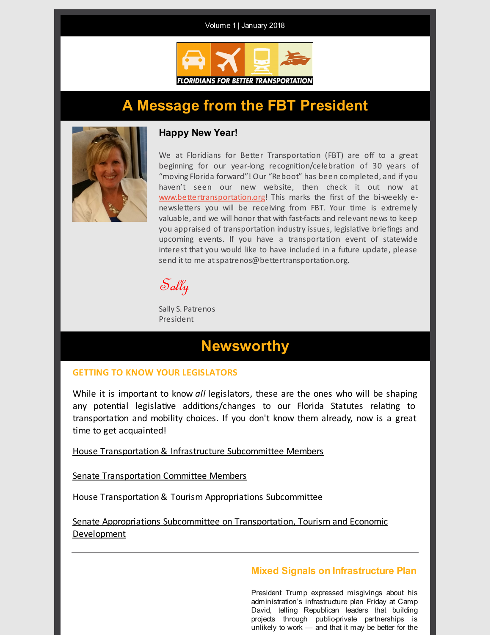Volume 1 | January 2018



## **A Message from the FBT President**



## **Happy New Year!**

We at Floridians for Better Transportation (FBT) are off to a great beginning for our year-long recognition/celebration of 30 years of "moving Florida forward"! Our "Reboot" has been completed, and if you haven't seen our new website, then check it out now at [www.bettertransportation.org](http://www.bettertransportation.org/)! This marks the first of the bi-weekly enewsletters you will be receiving from FBT. Your time is extremely valuable, and we will honor that with fast-facts and relevant news to keep you appraised of transportation industry issues, legislative briefings and upcoming events. If you have a transportation event of statewide interest that you would like to have included in a future update, please send it to me at spatrenos@bettertransportation.org.

 $S$ ally

Sally S. Patrenos President

## **Newsworthy**

## **GETTING TO KNOW YOUR LEGISLATORS**

While it is important to know *all* legislators, these are the ones who will be shaping any potential legislative additions/changes to our Florida Statutes relating to transportation and mobility choices. If you don't know them already, now is a great time to get acquainted!

House [Transportation](http://goo.gl/f2MJEi) & Infrastructure Subcommittee Members

Senate [Transportation](http://goo.gl/Q8aN7X) Committee Members

House [Transportation](http://goo.gl/hQxkps) & Tourism Appropriations Subcommittee

Senate Appropriations Subcommittee on [Transportation,](https://www.flsenate.gov/Committees/Show/ATD/) Tourism and Economic Development

## **Mixed Signals on Infrastructure Plan**

President Trump expressed misgivings about his administration's infrastructure plan Friday at Camp David, telling Republican leaders that building projects through public-private partnerships is unlikely to work — and that it may be better for the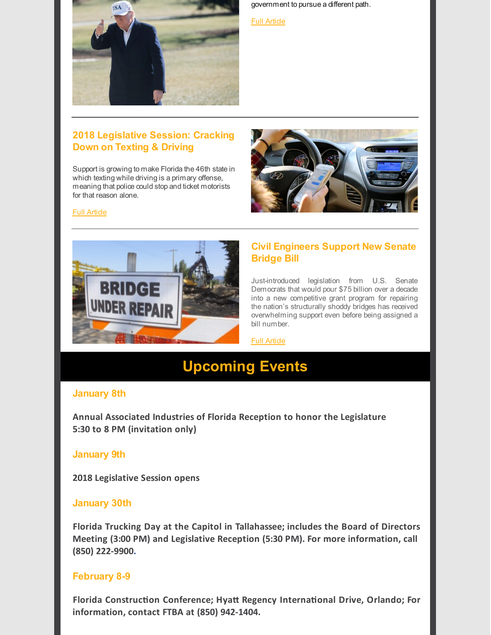

government to pursue a different path.

#### **Full Artide**

## **2018 Legislative Session: Cracking Down on Texting & Driving**

Support is growing to make Florida the 46th state in which texting while driving is a primary offense, meaning that police could stop and ticket motorists for that reason alone.



### **Full Artide**



## **Civil Engineers Support New Senate Bridge Bill**

Just-introduced legislation from U.S. Senate Democrats that would pour \$75 billion over a decade into a new competitive grant program for repairing the nation's structurally shoddy bridges has received overwhelming support even before being assigned a bill number.

#### **Full Artide**

# **Upcoming Events**

## **January 8th**

**Annual Associated Industries of Florida Reception to honor the Legislature 5:30 to 8 PM (invitation only)**

## **January 9th**

**2018 Legislative Session opens**

## **January 30th**

**Florida Trucking Day at the Capitol in Tallahassee; includes the Board of Directors Meeting (3:00 PM) and Legislative Reception (5:30 PM). For more information, call (850) 222-9900.**

## **February 8-9**

**Florida Construction Conference; Hyatt Regency International Drive, Orlando; For information, contact FTBA at (850) 942-1404.**